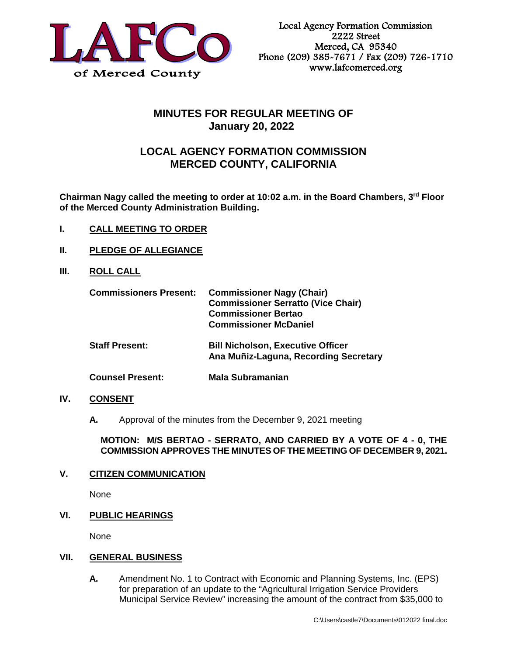

# **MINUTES FOR REGULAR MEETING OF January 20, 2022**

# **LOCAL AGENCY FORMATION COMMISSION MERCED COUNTY, CALIFORNIA**

**Chairman Nagy called the meeting to order at 10:02 a.m. in the Board Chambers, 3rd Floor of the Merced County Administration Building.** 

- **I. CALL MEETING TO ORDER**
- **II. PLEDGE OF ALLEGIANCE**
- **III. ROLL CALL**

| <b>Commissioners Present:</b> | <b>Commissioner Nagy (Chair)</b><br><b>Commissioner Serratto (Vice Chair)</b><br><b>Commissioner Bertao</b><br><b>Commissioner McDaniel</b> |
|-------------------------------|---------------------------------------------------------------------------------------------------------------------------------------------|
| <b>Staff Present:</b>         | <b>Bill Nicholson, Executive Officer</b><br>Ana Muñiz-Laguna, Recording Secretary                                                           |
| <b>Counsel Present:</b>       | Mala Subramanian                                                                                                                            |

## **IV. CONSENT**

**A.** Approval of the minutes from the December 9, 2021 meeting

### **MOTION: M/S BERTAO - SERRATO, AND CARRIED BY A VOTE OF 4 - 0, THE COMMISSION APPROVES THE MINUTES OF THE MEETING OF DECEMBER 9, 2021.**

## **V. CITIZEN COMMUNICATION**

None

## **VI. PUBLIC HEARINGS**

None

#### **VII. GENERAL BUSINESS**

**A.** Amendment No. 1 to Contract with Economic and Planning Systems, Inc. (EPS) for preparation of an update to the "Agricultural Irrigation Service Providers Municipal Service Review" increasing the amount of the contract from \$35,000 to